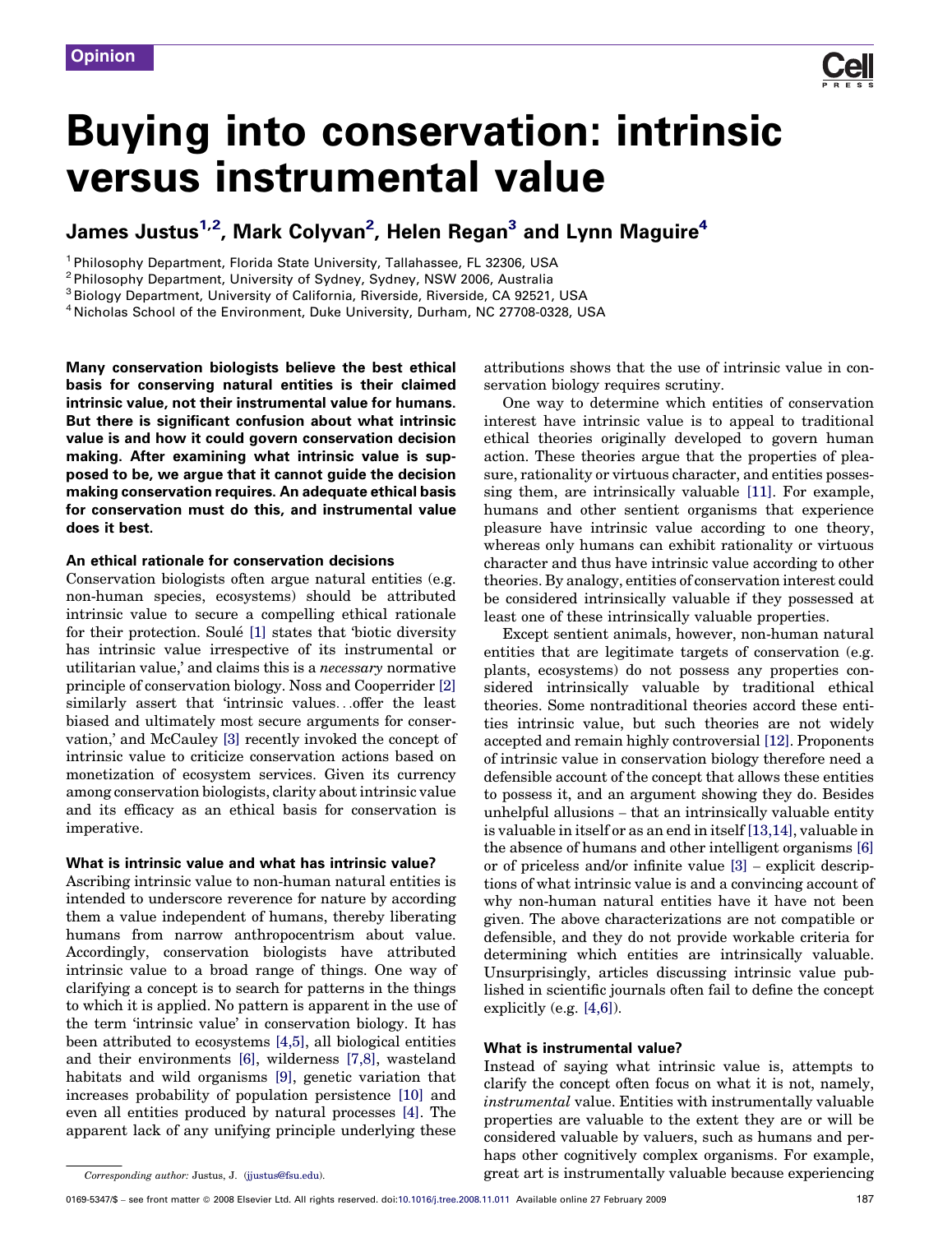Corresponding author: Justus, J. [\(jjustus@fsu.edu](mailto:jjustus@fsu.edu)).

# Buying into conservation: intrinsic versus instrumental value

## James Justus<sup>1,2</sup>, Mark Colyvan<sup>2</sup>, Helen Regan<sup>3</sup> and Lynn Maguire<sup>4</sup>

<sup>1</sup> Philosophy Department, Florida State University, Tallahassee, FL 32306, USA

<sup>2</sup> Philosophy Department, University of Sydney, Sydney, NSW 2006, Australia

<sup>3</sup> Biology Department, University of California, Riverside, Riverside, CA 92521, USA

<sup>4</sup> Nicholas School of the Environment, Duke University, Durham, NC 27708-0328, USA

Many conservation biologists believe the best ethical basis for conserving natural entities is their claimed intrinsic value, not their instrumental value for humans. But there is significant confusion about what intrinsic value is and how it could govern conservation decision making. After examining what intrinsic value is supposed to be, we argue that it cannot guide the decision making conservation requires. An adequate ethical basis for conservation must do this, and instrumental value does it best.

#### An ethical rationale for conservation decisions

Conservation biologists often argue natural entities (e.g. non-human species, ecosystems) should be attributed intrinsic value to secure a compelling ethical rationale for their protection. Soule [\[1\]](#page-3-0) states that 'biotic diversity has intrinsic value irrespective of its instrumental or utilitarian value,' and claims this is a necessary normative principle of conservation biology. Noss and Cooperrider [\[2\]](#page-3-0) similarly assert that 'intrinsic values...offer the least biased and ultimately most secure arguments for conservation,' and McCauley [\[3\]](#page-3-0) recently invoked the concept of intrinsic value to criticize conservation actions based on monetization of ecosystem services. Given its currency among conservation biologists, clarity about intrinsic value and its efficacy as an ethical basis for conservation is imperative.

#### What is intrinsic value and what has intrinsic value?

Ascribing intrinsic value to non-human natural entities is intended to underscore reverence for nature by according them a value independent of humans, thereby liberating humans from narrow anthropocentrism about value. Accordingly, conservation biologists have attributed intrinsic value to a broad range of things. One way of clarifying a concept is to search for patterns in the things to which it is applied. No pattern is apparent in the use of the term 'intrinsic value' in conservation biology. It has been attributed to ecosystems [\[4,5\]](#page-3-0), all biological entities and their environments [\[6\],](#page-3-0) wilderness [\[7,8\],](#page-3-0) wasteland habitats and wild organisms [\[9\]](#page-3-0), genetic variation that increases probability of population persistence [\[10\]](#page-3-0) and even all entities produced by natural processes [\[4\]](#page-3-0). The apparent lack of any unifying principle underlying these

attributions shows that the use of intrinsic value in conservation biology requires scrutiny.

One way to determine which entities of conservation interest have intrinsic value is to appeal to traditional ethical theories originally developed to govern human action. These theories argue that the properties of pleasure, rationality or virtuous character, and entities possessing them, are intrinsically valuable [\[11\]](#page-3-0). For example, humans and other sentient organisms that experience pleasure have intrinsic value according to one theory, whereas only humans can exhibit rationality or virtuous character and thus have intrinsic value according to other theories. By analogy, entities of conservation interest could be considered intrinsically valuable if they possessed at least one of these intrinsically valuable properties.

Except sentient animals, however, non-human natural entities that are legitimate targets of conservation (e.g. plants, ecosystems) do not possess any properties considered intrinsically valuable by traditional ethical theories. Some nontraditional theories accord these entities intrinsic value, but such theories are not widely accepted and remain highly controversial [\[12\]](#page-3-0). Proponents of intrinsic value in conservation biology therefore need a defensible account of the concept that allows these entities to possess it, and an argument showing they do. Besides unhelpful allusions – that an intrinsically valuable entity is valuable in itself or as an end in itself [\[13,14\]](#page-3-0), valuable in the absence of humans and other intelligent organisms [\[6\]](#page-3-0) or of priceless and/or infinite value [\[3\]](#page-3-0) – explicit descriptions of what intrinsic value is and a convincing account of why non-human natural entities have it have not been given. The above characterizations are not compatible or defensible, and they do not provide workable criteria for determining which entities are intrinsically valuable. Unsurprisingly, articles discussing intrinsic value published in scientific journals often fail to define the concept explicitly (e.g. [\[4,6\]\)](#page-3-0).

#### What is instrumental value?

Instead of saying what intrinsic value is, attempts to clarify the concept often focus on what it is not, namely, instrumental value. Entities with instrumentally valuable properties are valuable to the extent they are or will be considered valuable by valuers, such as humans and perhaps other cognitively complex organisms. For example, great art is instrumentally valuable because experiencing

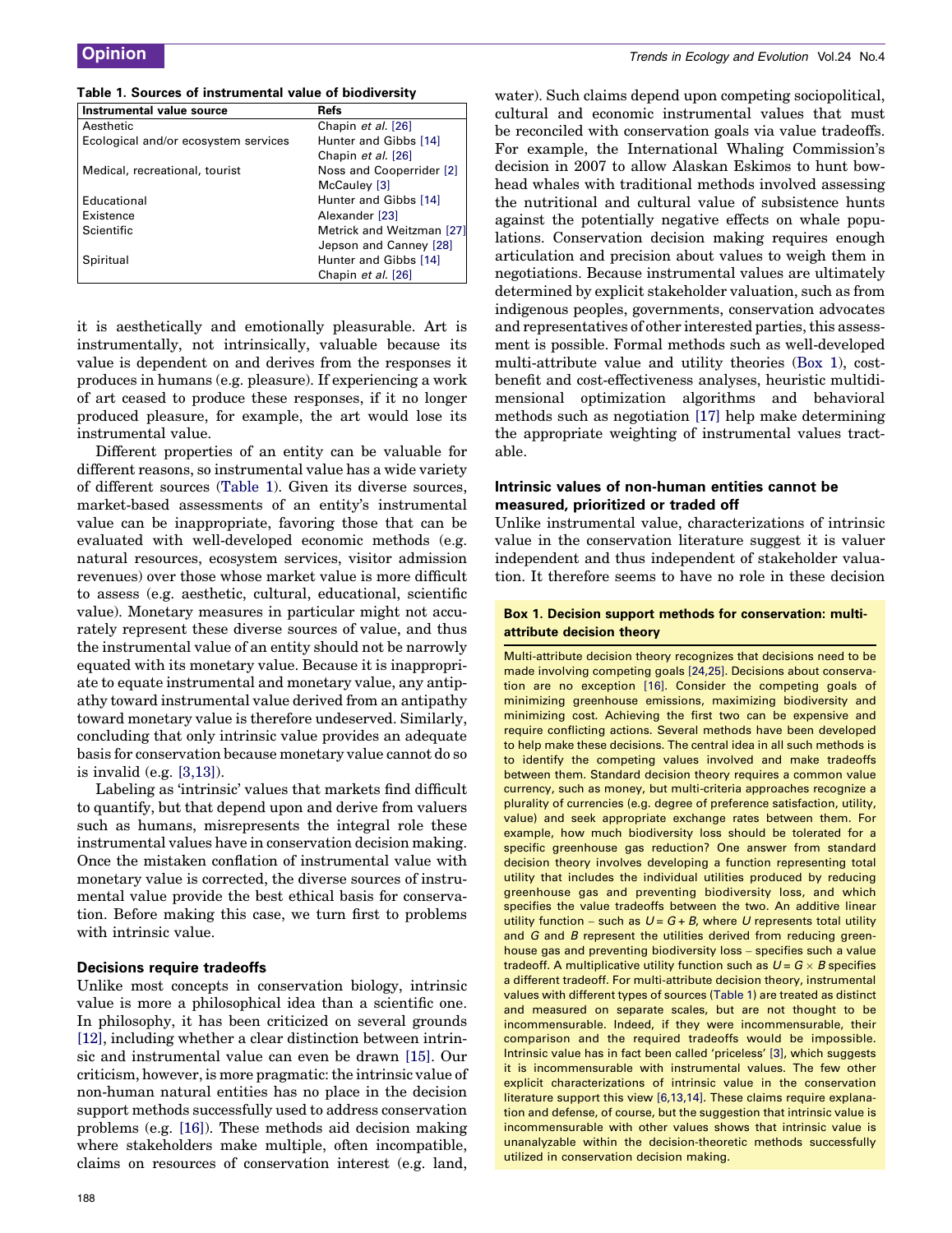<span id="page-1-0"></span>

| Table 1. Sources of instrumental value of biodiversity |  |  |  |
|--------------------------------------------------------|--|--|--|
|--------------------------------------------------------|--|--|--|

| Chapin et al. [26]<br>Aesthetic      |                           |
|--------------------------------------|---------------------------|
| Ecological and/or ecosystem services | Hunter and Gibbs [14]     |
|                                      | Chapin et al. [26]        |
| Medical, recreational, tourist       | Noss and Cooperrider [2]  |
| McCauley [3]                         |                           |
| Educational                          | Hunter and Gibbs [14]     |
| Existence<br>Alexander [23]          |                           |
| Scientific                           | Metrick and Weitzman [27] |
|                                      | Jepson and Canney [28]    |
| Spiritual                            | Hunter and Gibbs [14]     |
|                                      | Chapin et al. [26]        |

it is aesthetically and emotionally pleasurable. Art is instrumentally, not intrinsically, valuable because its value is dependent on and derives from the responses it produces in humans (e.g. pleasure). If experiencing a work of art ceased to produce these responses, if it no longer produced pleasure, for example, the art would lose its instrumental value.

Different properties of an entity can be valuable for different reasons, so instrumental value has a wide variety of different sources (Table 1). Given its diverse sources, market-based assessments of an entity's instrumental value can be inappropriate, favoring those that can be evaluated with well-developed economic methods (e.g. natural resources, ecosystem services, visitor admission revenues) over those whose market value is more difficult to assess (e.g. aesthetic, cultural, educational, scientific value). Monetary measures in particular might not accurately represent these diverse sources of value, and thus the instrumental value of an entity should not be narrowly equated with its monetary value. Because it is inappropriate to equate instrumental and monetary value, any antipathy toward instrumental value derived from an antipathy toward monetary value is therefore undeserved. Similarly, concluding that only intrinsic value provides an adequate basis for conservation because monetary value cannot do so is invalid (e.g. [\[3,13\]\)](#page-3-0).

Labeling as 'intrinsic' values that markets find difficult to quantify, but that depend upon and derive from valuers such as humans, misrepresents the integral role these instrumental values have in conservation decision making. Once the mistaken conflation of instrumental value with monetary value is corrected, the diverse sources of instrumental value provide the best ethical basis for conservation. Before making this case, we turn first to problems with intrinsic value.

#### Decisions require tradeoffs

Unlike most concepts in conservation biology, intrinsic value is more a philosophical idea than a scientific one. In philosophy, it has been criticized on several grounds [\[12\]](#page-3-0), including whether a clear distinction between intrinsic and instrumental value can even be drawn [\[15\]](#page-3-0). Our criticism, however, is more pragmatic: the intrinsic value of non-human natural entities has no place in the decision support methods successfully used to address conservation problems (e.g. [\[16\]\)](#page-3-0). These methods aid decision making where stakeholders make multiple, often incompatible, claims on resources of conservation interest (e.g. land, water). Such claims depend upon competing sociopolitical, cultural and economic instrumental values that must be reconciled with conservation goals via value tradeoffs. For example, the International Whaling Commission's decision in 2007 to allow Alaskan Eskimos to hunt bowhead whales with traditional methods involved assessing the nutritional and cultural value of subsistence hunts against the potentially negative effects on whale populations. Conservation decision making requires enough articulation and precision about values to weigh them in negotiations. Because instrumental values are ultimately determined by explicit stakeholder valuation, such as from indigenous peoples, governments, conservation advocates and representatives of other interested parties, this assessment is possible. Formal methods such as well-developed multi-attribute value and utility theories (Box 1), costbenefit and cost-effectiveness analyses, heuristic multidimensional optimization algorithms and behavioral methods such as negotiation [\[17\]](#page-3-0) help make determining the appropriate weighting of instrumental values tractable.

### Intrinsic values of non-human entities cannot be measured, prioritized or traded off

Unlike instrumental value, characterizations of intrinsic value in the conservation literature suggest it is valuer independent and thus independent of stakeholder valuation. It therefore seems to have no role in these decision

### Box 1. Decision support methods for conservation: multiattribute decision theory

Multi-attribute decision theory recognizes that decisions need to be made involving competing goals [\[24,25\]](#page-4-0). Decisions about conservation are no exception [\[16\].](#page-3-0) Consider the competing goals of minimizing greenhouse emissions, maximizing biodiversity and minimizing cost. Achieving the first two can be expensive and require conflicting actions. Several methods have been developed to help make these decisions. The central idea in all such methods is to identify the competing values involved and make tradeoffs between them. Standard decision theory requires a common value currency, such as money, but multi-criteria approaches recognize a plurality of currencies (e.g. degree of preference satisfaction, utility, value) and seek appropriate exchange rates between them. For example, how much biodiversity loss should be tolerated for a specific greenhouse gas reduction? One answer from standard decision theory involves developing a function representing total utility that includes the individual utilities produced by reducing greenhouse gas and preventing biodiversity loss, and which specifies the value tradeoffs between the two. An additive linear utility function – such as  $U = G + B$ , where U represents total utility and G and B represent the utilities derived from reducing greenhouse gas and preventing biodiversity loss – specifies such a value tradeoff. A multiplicative utility function such as  $U = G \times B$  specifies a different tradeoff. For multi-attribute decision theory, instrumental values with different types of sources (Table 1) are treated as distinct and measured on separate scales, but are not thought to be incommensurable. Indeed, if they were incommensurable, their comparison and the required tradeoffs would be impossible. Intrinsic value has in fact been called 'priceless' [\[3\]](#page-3-0), which suggests it is incommensurable with instrumental values. The few other explicit characterizations of intrinsic value in the conservation literature support this view [\[6,13,14\].](#page-3-0) These claims require explanation and defense, of course, but the suggestion that intrinsic value is incommensurable with other values shows that intrinsic value is unanalyzable within the decision-theoretic methods successfully utilized in conservation decision making.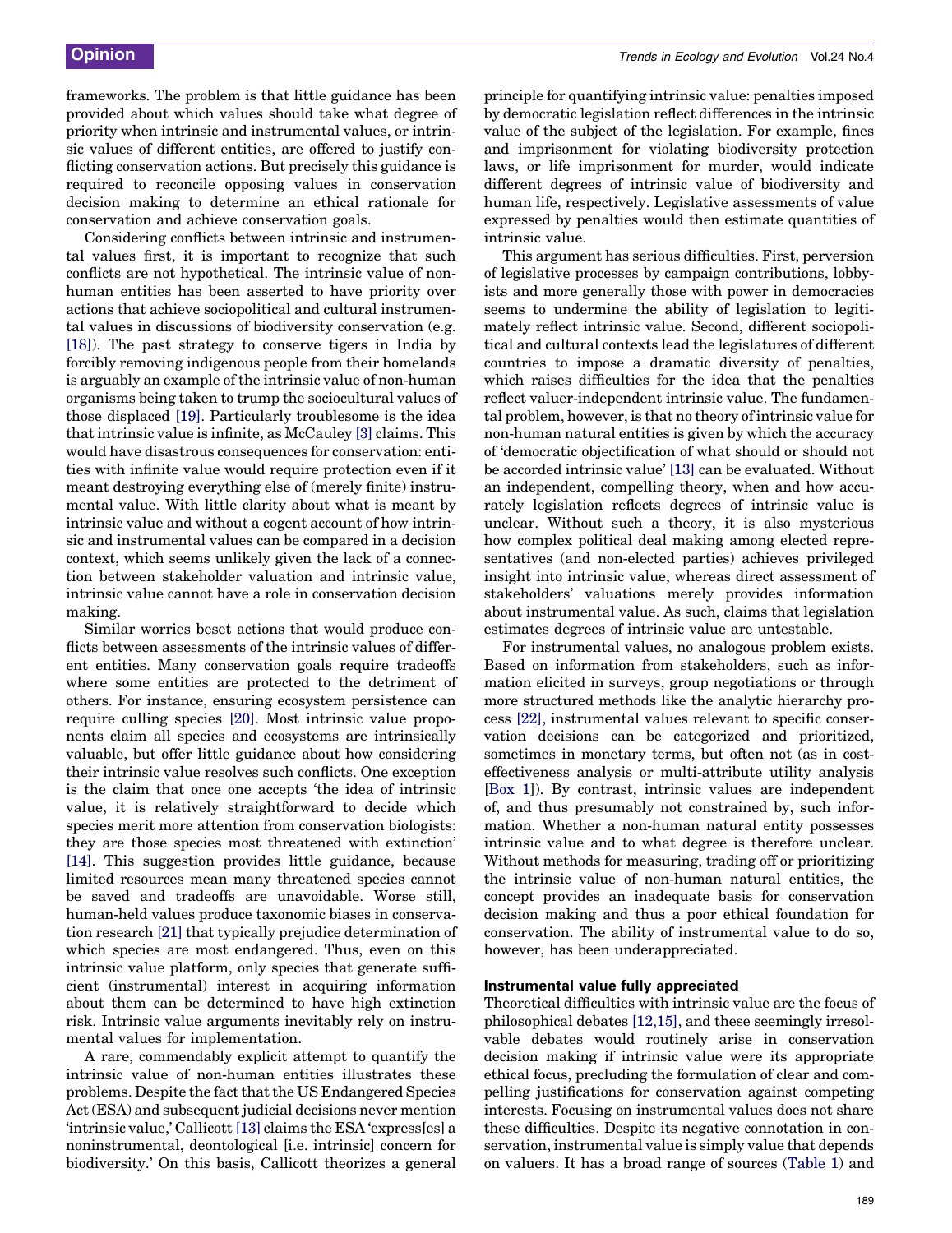frameworks. The problem is that little guidance has been provided about which values should take what degree of priority when intrinsic and instrumental values, or intrinsic values of different entities, are offered to justify conflicting conservation actions. But precisely this guidance is required to reconcile opposing values in conservation decision making to determine an ethical rationale for conservation and achieve conservation goals.

Considering conflicts between intrinsic and instrumental values first, it is important to recognize that such conflicts are not hypothetical. The intrinsic value of nonhuman entities has been asserted to have priority over actions that achieve sociopolitical and cultural instrumental values in discussions of biodiversity conservation (e.g. [\[18\]](#page-3-0)). The past strategy to conserve tigers in India by forcibly removing indigenous people from their homelands is arguably an example of the intrinsic value of non-human organisms being taken to trump the sociocultural values of those displaced [\[19\]](#page-3-0). Particularly troublesome is the idea that intrinsic value is infinite, as McCauley [\[3\]](#page-3-0) claims. This would have disastrous consequences for conservation: entities with infinite value would require protection even if it meant destroying everything else of (merely finite) instrumental value. With little clarity about what is meant by intrinsic value and without a cogent account of how intrinsic and instrumental values can be compared in a decision context, which seems unlikely given the lack of a connection between stakeholder valuation and intrinsic value, intrinsic value cannot have a role in conservation decision making.

Similar worries beset actions that would produce conflicts between assessments of the intrinsic values of different entities. Many conservation goals require tradeoffs where some entities are protected to the detriment of others. For instance, ensuring ecosystem persistence can require culling species [\[20\]](#page-4-0). Most intrinsic value proponents claim all species and ecosystems are intrinsically valuable, but offer little guidance about how considering their intrinsic value resolves such conflicts. One exception is the claim that once one accepts 'the idea of intrinsic value, it is relatively straightforward to decide which species merit more attention from conservation biologists: they are those species most threatened with extinction' [\[14\]](#page-3-0). This suggestion provides little guidance, because limited resources mean many threatened species cannot be saved and tradeoffs are unavoidable. Worse still, human-held values produce taxonomic biases in conservation research [\[21\]](#page-4-0) that typically prejudice determination of which species are most endangered. Thus, even on this intrinsic value platform, only species that generate sufficient (instrumental) interest in acquiring information about them can be determined to have high extinction risk. Intrinsic value arguments inevitably rely on instrumental values for implementation.

A rare, commendably explicit attempt to quantify the intrinsic value of non-human entities illustrates these problems. Despite the fact that the US Endangered Species Act (ESA) and subsequent judicial decisions never mention 'intrinsic value,' Callicott [\[13\]](#page-3-0) claims the ESA 'express[es] a noninstrumental, deontological [i.e. intrinsic] concern for biodiversity.' On this basis, Callicott theorizes a general

principle for quantifying intrinsic value: penalties imposed by democratic legislation reflect differences in the intrinsic value of the subject of the legislation. For example, fines and imprisonment for violating biodiversity protection laws, or life imprisonment for murder, would indicate different degrees of intrinsic value of biodiversity and human life, respectively. Legislative assessments of value expressed by penalties would then estimate quantities of intrinsic value.

This argument has serious difficulties. First, perversion of legislative processes by campaign contributions, lobbyists and more generally those with power in democracies seems to undermine the ability of legislation to legitimately reflect intrinsic value. Second, different sociopolitical and cultural contexts lead the legislatures of different countries to impose a dramatic diversity of penalties, which raises difficulties for the idea that the penalties reflect valuer-independent intrinsic value. The fundamental problem, however, is that no theory of intrinsic value for non-human natural entities is given by which the accuracy of 'democratic objectification of what should or should not be accorded intrinsic value' [\[13\]](#page-3-0) can be evaluated. Without an independent, compelling theory, when and how accurately legislation reflects degrees of intrinsic value is unclear. Without such a theory, it is also mysterious how complex political deal making among elected representatives (and non-elected parties) achieves privileged insight into intrinsic value, whereas direct assessment of stakeholders' valuations merely provides information about instrumental value. As such, claims that legislation estimates degrees of intrinsic value are untestable.

For instrumental values, no analogous problem exists. Based on information from stakeholders, such as information elicited in surveys, group negotiations or through more structured methods like the analytic hierarchy process [\[22\],](#page-4-0) instrumental values relevant to specific conservation decisions can be categorized and prioritized, sometimes in monetary terms, but often not (as in costeffectiveness analysis or multi-attribute utility analysis [[Box 1](#page-1-0)]). By contrast, intrinsic values are independent of, and thus presumably not constrained by, such information. Whether a non-human natural entity possesses intrinsic value and to what degree is therefore unclear. Without methods for measuring, trading off or prioritizing the intrinsic value of non-human natural entities, the concept provides an inadequate basis for conservation decision making and thus a poor ethical foundation for conservation. The ability of instrumental value to do so, however, has been underappreciated.

#### Instrumental value fully appreciated

Theoretical difficulties with intrinsic value are the focus of philosophical debates [\[12,15\]](#page-3-0), and these seemingly irresolvable debates would routinely arise in conservation decision making if intrinsic value were its appropriate ethical focus, precluding the formulation of clear and compelling justifications for conservation against competing interests. Focusing on instrumental values does not share these difficulties. Despite its negative connotation in conservation, instrumental value is simply value that depends on valuers. It has a broad range of sources ([Table 1\)](#page-1-0) and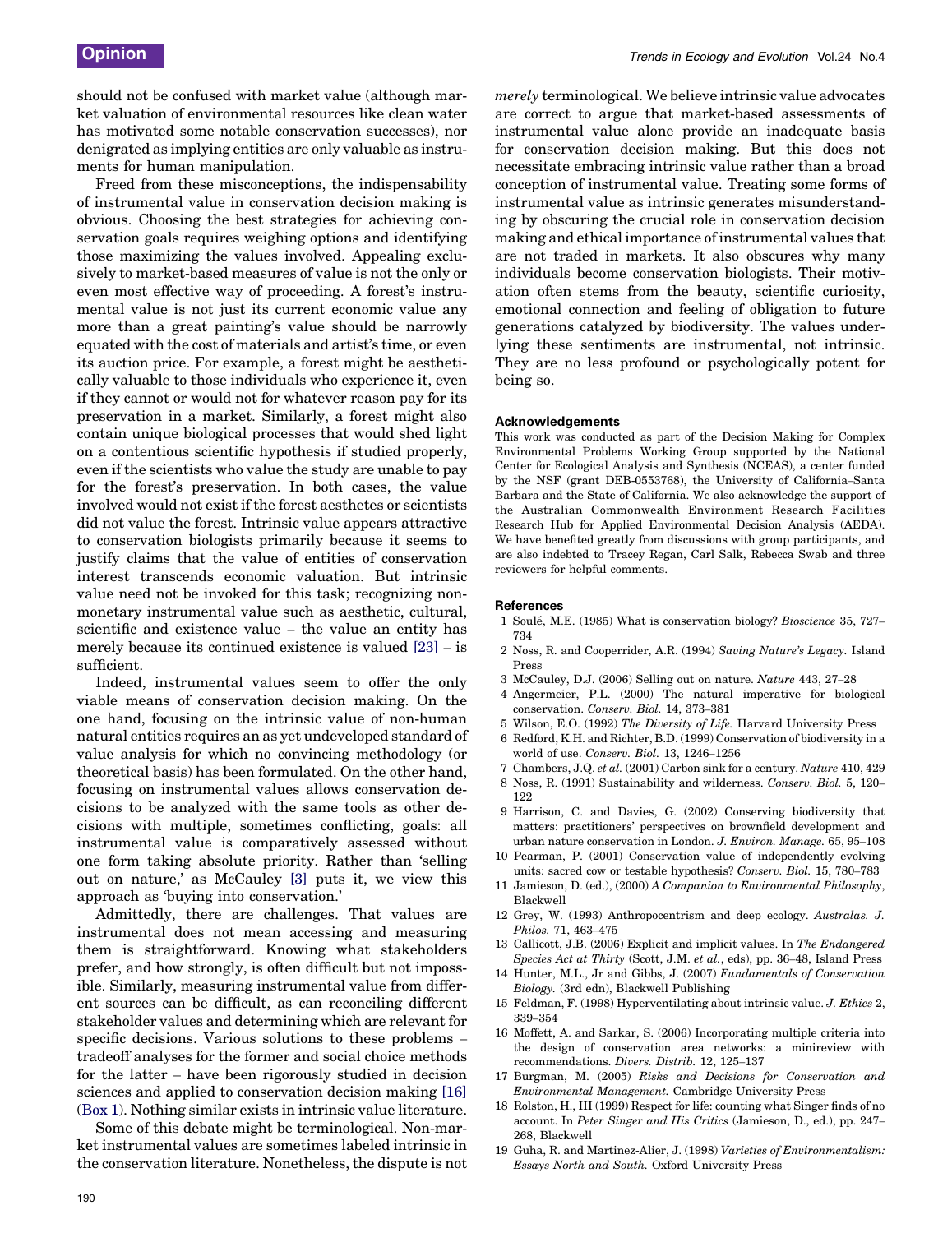<span id="page-3-0"></span>should not be confused with market value (although market valuation of environmental resources like clean water has motivated some notable conservation successes), nor denigrated as implying entities are only valuable as instruments for human manipulation.

Freed from these misconceptions, the indispensability of instrumental value in conservation decision making is obvious. Choosing the best strategies for achieving conservation goals requires weighing options and identifying those maximizing the values involved. Appealing exclusively to market-based measures of value is not the only or even most effective way of proceeding. A forest's instrumental value is not just its current economic value any more than a great painting's value should be narrowly equated with the cost of materials and artist's time, or even its auction price. For example, a forest might be aesthetically valuable to those individuals who experience it, even if they cannot or would not for whatever reason pay for its preservation in a market. Similarly, a forest might also contain unique biological processes that would shed light on a contentious scientific hypothesis if studied properly, even if the scientists who value the study are unable to pay for the forest's preservation. In both cases, the value involved would not exist if the forest aesthetes or scientists did not value the forest. Intrinsic value appears attractive to conservation biologists primarily because it seems to justify claims that the value of entities of conservation interest transcends economic valuation. But intrinsic value need not be invoked for this task; recognizing nonmonetary instrumental value such as aesthetic, cultural, scientific and existence value – the value an entity has merely because its continued existence is valued [\[23\]](#page-4-0) – is sufficient.

Indeed, instrumental values seem to offer the only viable means of conservation decision making. On the one hand, focusing on the intrinsic value of non-human natural entities requires an as yet undeveloped standard of value analysis for which no convincing methodology (or theoretical basis) has been formulated. On the other hand, focusing on instrumental values allows conservation decisions to be analyzed with the same tools as other decisions with multiple, sometimes conflicting, goals: all instrumental value is comparatively assessed without one form taking absolute priority. Rather than 'selling out on nature,' as McCauley [3] puts it, we view this approach as 'buying into conservation.'

Admittedly, there are challenges. That values are instrumental does not mean accessing and measuring them is straightforward. Knowing what stakeholders prefer, and how strongly, is often difficult but not impossible. Similarly, measuring instrumental value from different sources can be difficult, as can reconciling different stakeholder values and determining which are relevant for specific decisions. Various solutions to these problems – tradeoff analyses for the former and social choice methods for the latter – have been rigorously studied in decision sciences and applied to conservation decision making [16] ([Box 1](#page-1-0)). Nothing similar exists in intrinsic value literature.

Some of this debate might be terminological. Non-market instrumental values are sometimes labeled intrinsic in the conservation literature. Nonetheless, the dispute is not merely terminological. We believe intrinsic value advocates are correct to argue that market-based assessments of instrumental value alone provide an inadequate basis for conservation decision making. But this does not necessitate embracing intrinsic value rather than a broad conception of instrumental value. Treating some forms of instrumental value as intrinsic generates misunderstanding by obscuring the crucial role in conservation decision making and ethical importance of instrumental values that are not traded in markets. It also obscures why many individuals become conservation biologists. Their motivation often stems from the beauty, scientific curiosity, emotional connection and feeling of obligation to future generations catalyzed by biodiversity. The values underlying these sentiments are instrumental, not intrinsic. They are no less profound or psychologically potent for being so.

#### Acknowledgements

This work was conducted as part of the Decision Making for Complex Environmental Problems Working Group supported by the National Center for Ecological Analysis and Synthesis (NCEAS), a center funded by the NSF (grant DEB-0553768), the University of California–Santa Barbara and the State of California. We also acknowledge the support of the Australian Commonwealth Environment Research Facilities Research Hub for Applied Environmental Decision Analysis (AEDA). We have benefited greatly from discussions with group participants, and are also indebted to Tracey Regan, Carl Salk, Rebecca Swab and three reviewers for helpful comments.

#### **References**

- 1 Soule´, M.E. (1985) What is conservation biology? Bioscience 35, 727– 734
- 2 Noss, R. and Cooperrider, A.R. (1994) Saving Nature's Legacy. Island Press
- 3 McCauley, D.J. (2006) Selling out on nature. Nature 443, 27–28
- 4 Angermeier, P.L. (2000) The natural imperative for biological conservation. Conserv. Biol. 14, 373–381
- 5 Wilson, E.O. (1992) The Diversity of Life. Harvard University Press
- 6 Redford, K.H. and Richter, B.D. (1999) Conservation of biodiversity in a world of use. Conserv. Biol. 13, 1246–1256
- 7 Chambers, J.Q. et al. (2001) Carbon sink for a century. Nature 410, 429
- 8 Noss, R. (1991) Sustainability and wilderness. Conserv. Biol. 5, 120– 122
- 9 Harrison, C. and Davies, G. (2002) Conserving biodiversity that matters: practitioners' perspectives on brownfield development and urban nature conservation in London. J. Environ. Manage. 65, 95–108
- 10 Pearman, P. (2001) Conservation value of independently evolving units: sacred cow or testable hypothesis? Conserv. Biol. 15, 780–783
- 11 Jamieson, D. (ed.), (2000) A Companion to Environmental Philosophy, Blackwell
- 12 Grey, W. (1993) Anthropocentrism and deep ecology. Australas. J. Philos. 71, 463–475
- 13 Callicott, J.B. (2006) Explicit and implicit values. In The Endangered Species Act at Thirty (Scott, J.M. et al., eds), pp. 36–48, Island Press
- 14 Hunter, M.L., Jr and Gibbs, J. (2007) Fundamentals of Conservation Biology. (3rd edn), Blackwell Publishing
- 15 Feldman, F. (1998) Hyperventilating about intrinsic value. J. Ethics 2, 339–354
- 16 Moffett, A. and Sarkar, S. (2006) Incorporating multiple criteria into the design of conservation area networks: a minireview with recommendations. Divers. Distrib. 12, 125–137
- 17 Burgman, M. (2005) Risks and Decisions for Conservation and Environmental Management. Cambridge University Press
- 18 Rolston, H., III (1999) Respect for life: counting what Singer finds of no account. In Peter Singer and His Critics (Jamieson, D., ed.), pp. 247– 268, Blackwell
- 19 Guha, R. and Martinez-Alier, J. (1998) Varieties of Environmentalism: Essays North and South. Oxford University Press